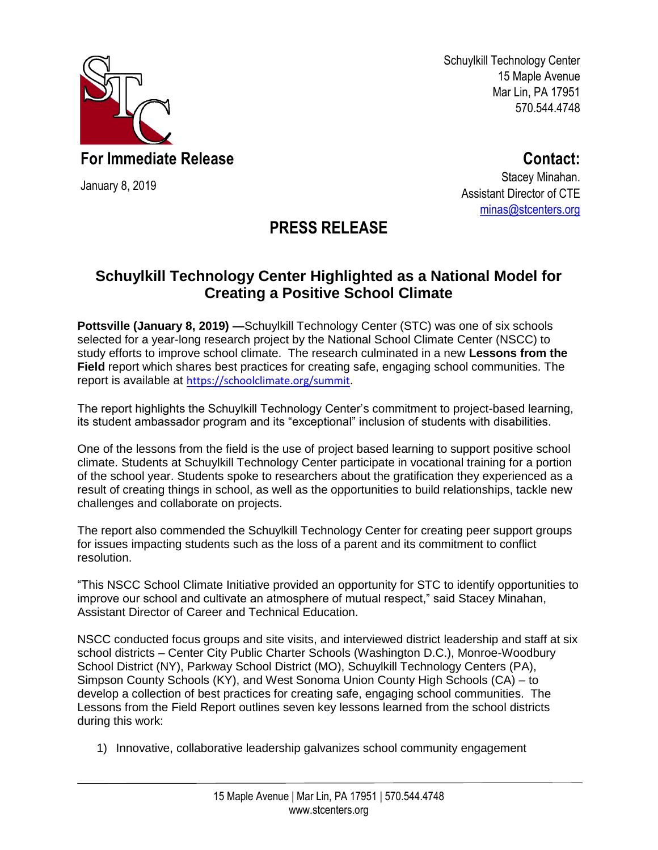

January 8, 2019

Schuylkill Technology Center 15 Maple Avenue Mar Lin, PA 17951 570.544.4748

**For Immediate Release**

**Contact:**

Stacey Minahan. Assistant Director of CTE [minas@stcenters.org](mailto:minas@stcenters.org)

## **PRESS RELEASE**

## **Schuylkill Technology Center Highlighted as a National Model for Creating a Positive School Climate**

**Pottsville (January 8, 2019) —**Schuylkill Technology Center (STC) was one of six schools selected for a year-long research project by the National School Climate Center (NSCC) to study efforts to improve school climate. The research culminated in a new **Lessons from the Field** report which shares best practices for creating safe, engaging school communities. The report is available at [https://schoolclimate.org/summit.](https://schoolclimate.org/summit)

The report highlights the Schuylkill Technology Center's commitment to project-based learning, its student ambassador program and its "exceptional" inclusion of students with disabilities.

One of the lessons from the field is the use of project based learning to support positive school climate. Students at Schuylkill Technology Center participate in vocational training for a portion of the school year. Students spoke to researchers about the gratification they experienced as a result of creating things in school, as well as the opportunities to build relationships, tackle new challenges and collaborate on projects.

The report also commended the Schuylkill Technology Center for creating peer support groups for issues impacting students such as the loss of a parent and its commitment to conflict resolution.

"This NSCC School Climate Initiative provided an opportunity for STC to identify opportunities to improve our school and cultivate an atmosphere of mutual respect," said Stacey Minahan, Assistant Director of Career and Technical Education.

NSCC conducted focus groups and site visits, and interviewed district leadership and staff at six school districts – Center City Public Charter Schools (Washington D.C.), Monroe-Woodbury School District (NY), Parkway School District (MO), Schuylkill Technology Centers (PA), Simpson County Schools (KY), and West Sonoma Union County High Schools (CA) – to develop a collection of best practices for creating safe, engaging school communities. The Lessons from the Field Report outlines seven key lessons learned from the school districts during this work:

1) Innovative, collaborative leadership galvanizes school community engagement